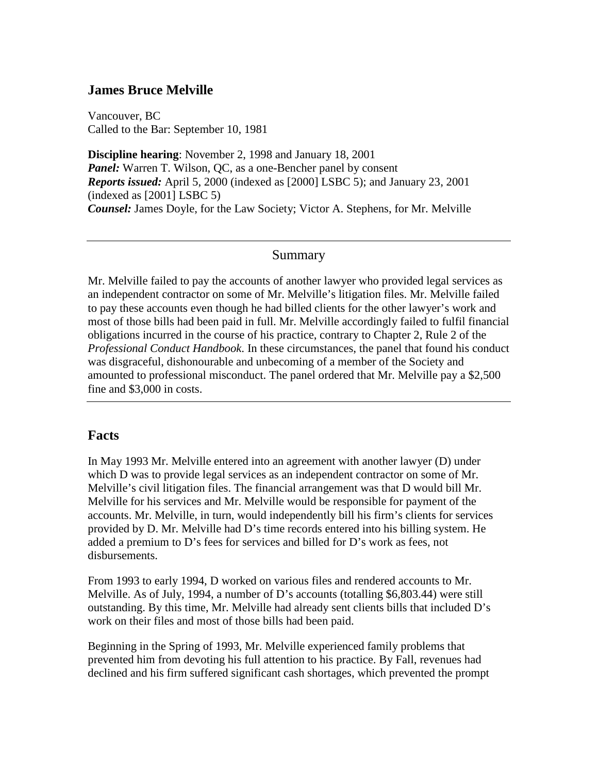## **James Bruce Melville**

Vancouver, BC Called to the Bar: September 10, 1981

**Discipline hearing**: November 2, 1998 and January 18, 2001 *Panel:* Warren T. Wilson, QC, as a one-Bencher panel by consent *Reports issued:* April 5, 2000 (indexed as [2000] LSBC 5); and January 23, 2001  $(indexed as [2001] LSBC 5)$ *Counsel:* James Doyle, for the Law Society; Victor A. Stephens, for Mr. Melville

### Summary

Mr. Melville failed to pay the accounts of another lawyer who provided legal services as an independent contractor on some of Mr. Melville's litigation files. Mr. Melville failed to pay these accounts even though he had billed clients for the other lawyer's work and most of those bills had been paid in full. Mr. Melville accordingly failed to fulfil financial obligations incurred in the course of his practice, contrary to Chapter 2, Rule 2 of the *Professional Conduct Handbook*. In these circumstances, the panel that found his conduct was disgraceful, dishonourable and unbecoming of a member of the Society and amounted to professional misconduct. The panel ordered that Mr. Melville pay a \$2,500 fine and \$3,000 in costs.

### **Facts**

In May 1993 Mr. Melville entered into an agreement with another lawyer (D) under which D was to provide legal services as an independent contractor on some of Mr. Melville's civil litigation files. The financial arrangement was that D would bill Mr. Melville for his services and Mr. Melville would be responsible for payment of the accounts. Mr. Melville, in turn, would independently bill his firm's clients for services provided by D. Mr. Melville had D's time records entered into his billing system. He added a premium to D's fees for services and billed for D's work as fees, not disbursements.

From 1993 to early 1994, D worked on various files and rendered accounts to Mr. Melville. As of July, 1994, a number of D's accounts (totalling \$6,803.44) were still outstanding. By this time, Mr. Melville had already sent clients bills that included D's work on their files and most of those bills had been paid.

Beginning in the Spring of 1993, Mr. Melville experienced family problems that prevented him from devoting his full attention to his practice. By Fall, revenues had declined and his firm suffered significant cash shortages, which prevented the prompt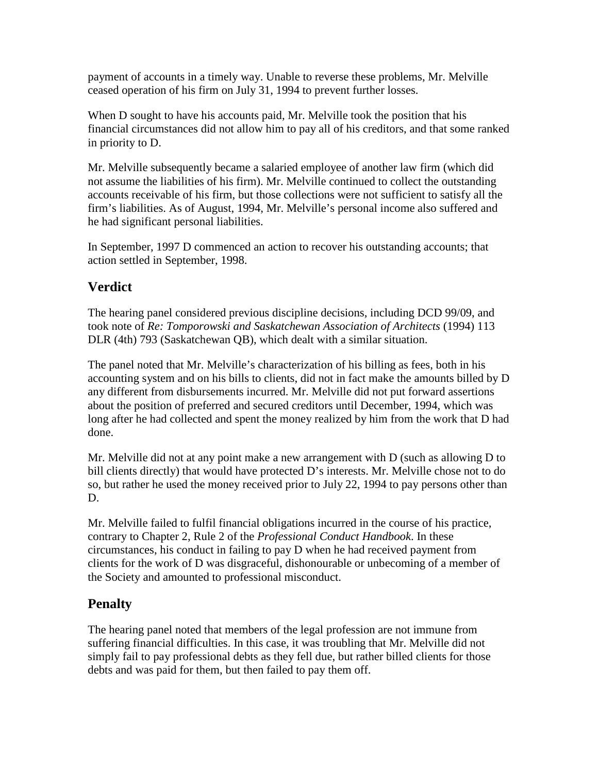payment of accounts in a timely way. Unable to reverse these problems, Mr. Melville ceased operation of his firm on July 31, 1994 to prevent further losses.

When D sought to have his accounts paid, Mr. Melville took the position that his financial circumstances did not allow him to pay all of his creditors, and that some ranked in priority to D.

Mr. Melville subsequently became a salaried employee of another law firm (which did not assume the liabilities of his firm). Mr. Melville continued to collect the outstanding accounts receivable of his firm, but those collections were not sufficient to satisfy all the firm's liabilities. As of August, 1994, Mr. Melville's personal income also suffered and he had significant personal liabilities.

In September, 1997 D commenced an action to recover his outstanding accounts; that action settled in September, 1998.

# **Verdict**

The hearing panel considered previous discipline decisions, including DCD 99/09, and took note of *Re: Tomporowski and Saskatchewan Association of Architects* (1994) 113 DLR (4th) 793 (Saskatchewan QB), which dealt with a similar situation.

The panel noted that Mr. Melville's characterization of his billing as fees, both in his accounting system and on his bills to clients, did not in fact make the amounts billed by D any different from disbursements incurred. Mr. Melville did not put forward assertions about the position of preferred and secured creditors until December, 1994, which was long after he had collected and spent the money realized by him from the work that D had done.

Mr. Melville did not at any point make a new arrangement with  $D$  (such as allowing  $D$  to bill clients directly) that would have protected D's interests. Mr. Melville chose not to do so, but rather he used the money received prior to July 22, 1994 to pay persons other than D.

Mr. Melville failed to fulfil financial obligations incurred in the course of his practice, contrary to Chapter 2, Rule 2 of the *Professional Conduct Handbook*. In these circumstances, his conduct in failing to pay D when he had received payment from clients for the work of D was disgraceful, dishonourable or unbecoming of a member of the Society and amounted to professional misconduct.

# **Penalty**

The hearing panel noted that members of the legal profession are not immune from suffering financial difficulties. In this case, it was troubling that Mr. Melville did not simply fail to pay professional debts as they fell due, but rather billed clients for those debts and was paid for them, but then failed to pay them off.